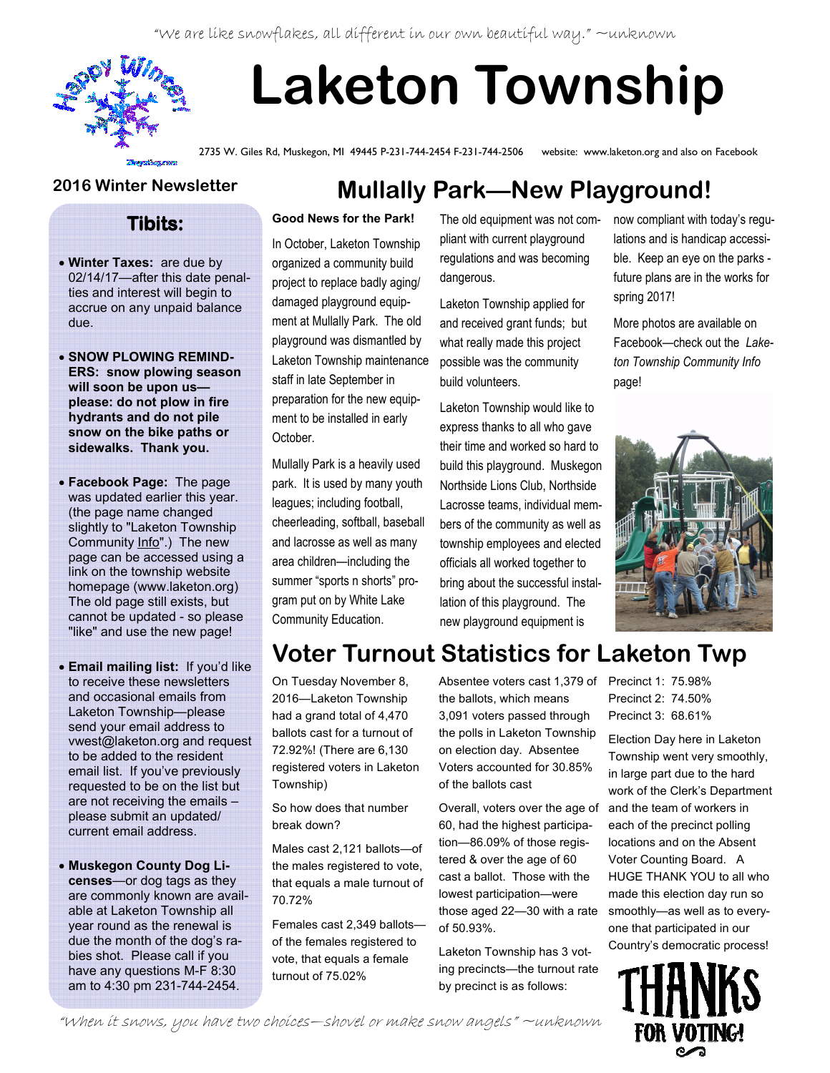"We are like snowflakes, all different in our own beautiful way." ~unknown



# Laketon Township

2735 W. Giles Rd, Muskegon, MI 49445 P-231-744-2454 F-231-744-2506 website: www.laketon.org and also on Facebook

#### 2016 Winter Newsletter

#### Tibits:

- Winter Taxes: are due by 02/14/17—after this date penalties and interest will begin to accrue on any unpaid balance due.
- SNOW PLOWING REMIND-ERS: snow plowing season will soon be upon us please: do not plow in fire hydrants and do not pile snow on the bike paths or sidewalks. Thank you.
- Facebook Page: The page was updated earlier this year. (the page name changed slightly to "Laketon Township Community Info".) The new page can be accessed using a link on the township website homepage (www.laketon.org) The old page still exists, but cannot be updated - so please "like" and use the new page!
- Email mailing list: If you'd like to receive these newsletters and occasional emails from Laketon Township—please send your email address to vwest@laketon.org and request to be added to the resident email list. If you've previously requested to be on the list but are not receiving the emails – please submit an updated/ current email address.
- Muskegon County Dog Licenses—or dog tags as they are commonly known are available at Laketon Township all year round as the renewal is due the month of the dog's rabies shot. Please call if you have any questions M-F 8:30 am to 4:30 pm 231-744-2454.

## Mullally Park—New Playground!

#### Good News for the Park!

In October, Laketon Township organized a community build project to replace badly aging/ damaged playground equipment at Mullally Park. The old playground was dismantled by Laketon Township maintenance staff in late September in preparation for the new equipment to be installed in early October.

Mullally Park is a heavily used park. It is used by many youth leagues; including football, cheerleading, softball, baseball and lacrosse as well as many area children—including the summer "sports n shorts" program put on by White Lake Community Education.

The old equipment was not compliant with current playground regulations and was becoming dangerous.

Laketon Township applied for and received grant funds; but what really made this project possible was the community build volunteers.

Laketon Township would like to express thanks to all who gave their time and worked so hard to build this playground. Muskegon Northside Lions Club, Northside Lacrosse teams, individual members of the community as well as township employees and elected officials all worked together to bring about the successful installation of this playground. The new playground equipment is

now compliant with today's regulations and is handicap accessible. Keep an eye on the parks future plans are in the works for spring 2017!

More photos are available on Facebook—check out the Laketon Township Community Info page!



# Voter Turnout Statistics for Laketon Twp

On Tuesday November 8, 2016—Laketon Township had a grand total of 4,470 ballots cast for a turnout of 72.92%! (There are 6,130 registered voters in Laketon Township)

So how does that number break down?

Males cast 2,121 ballots—of the males registered to vote, that equals a male turnout of 70.72%

Females cast 2,349 ballots of the females registered to vote, that equals a female turnout of 75.02%

Absentee voters cast 1,379 of Precinct 1: 75.98% the ballots, which means 3,091 voters passed through the polls in Laketon Township on election day. Absentee Voters accounted for 30.85% of the ballots cast

Overall, voters over the age of 60, had the highest participation—86.09% of those registered & over the age of 60 cast a ballot. Those with the lowest participation—were those aged 22—30 with a rate of 50.93%.

Laketon Township has 3 voting precincts—the turnout rate by precinct is as follows:

Precinct 2: 74.50% Precinct 3: 68.61%

Election Day here in Laketon Township went very smoothly, in large part due to the hard work of the Clerk's Department and the team of workers in each of the precinct polling locations and on the Absent Voter Counting Board. A HUGE THANK YOU to all who made this election day run so smoothly—as well as to everyone that participated in our Country's democratic process!



"When it snows, you have two choices—shovel or make snow angels" ~unknown